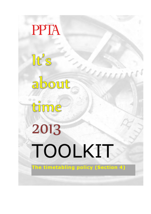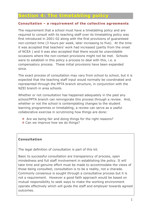## **Section 4: The timetabling policy**

#### **Consultation – a requirement of the collective agreements**

The requirement that a school must have a timetabling policy and are required to consult with its teaching staff over its timetabling policy was first introduced in 2001-02 along with the first provisions of guaranteed non-contact time (3 hours per week, later increasing to five). At the time it was accepted that teachers' work had increased (partly from the onset of NCEA ) and it was also accepted that there would be unavoidable occasions where the non-contact provisions might not be met. Schools were to establish in this policy a process to deal with this, i.e. a compensatory process. These initial provisions have been expanded since.

The exact process of consultation may vary from school to school, but it is expected that the teaching staff input would normally be coordinated and represented through the PPTA branch structure, in conjunction with the NZEI branch in area schools.

Whether or not consultation has happened adequately in the past any school/PPTA branch can reinvigorate this process through a review. And, whether or not the school is contemplating changes to the student learning programmes or timetabling, a review can serve as a useful collaborative exercise in scrutinizing how things are done:

- $\div$  Are we being fair and doing things for the right reasons?
- ◆ Can we improve how we do things?

#### **Consultation**

The legal definition of consultation is part of this kit.

Basic to successful consultation are transparency of process, open mindedness and full staff involvement in establishing the policy. It will take time and genuine effort must be made to accommodate the views of those being consulted; consultation is to be a reality, not a charade. Commonly consensus is sought through a consultative process but it is not a requirement. However a good faith approach would be based on mutual responsibility to seek ways to make the working environment operate effectively which will guide the staff and employer towards agreed outcomes.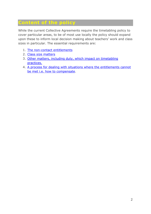# **Content of the policy**

While the current Collective Agreements require the timetabling policy to cover particular areas, to be of most use locally the policy should expand upon these to inform local decision making about teachers' work and class sizes in particular. The essential requirements are:

- 1. [The non-contact entitlements](#page-2-0)
- 2. [Class size matters](#page-7-0)
- 3. [Other matters, including duty, which impact on timetabling](#page-11-0)  [practices.](#page-11-0)
- <span id="page-2-0"></span>4. [A process for dealing with situations where the entitlements cannot](#page-12-0)  [be met i.e. how to compensate.](#page-12-0)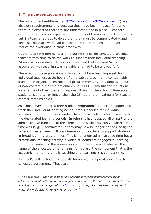## **1. The non-contact provisions**

The non-contact entitlements [\(STCA clause 5.2,](http://ppta.org.nz/index.php/collective-agreements/stca/91-part-five?start=3) [ASTCA clause 4.2\)](http://ppta.org.nz/index.php/collective-agreements/astca/137-astca-part-four?start=2) are absolute requirements and because they have been in place for some years it is expected that they are understood and in place. Teachers cannot be required or expected to forgo any of the non-contact provisions but if a teacher agrees to do so then they must be compensated – and because these are workload controls then the compensation ought to reduce their workload in some other way.

Guaranteed time non-contact time during the school timetable provides teachers with time to do the work to support their individual teaching. When it was introduced it was acknowledged that required 'work' associated with teaching was valuable and had to be allowed for $1$ .

The effect of these provisions is to cap a full time teaching week for individual teachers at 20 hours of time-tabled teaching, ie contact with students in organized instructional programmes , by providing five hours of non-contact out of the notional 25 hour FTTE, with further reductions for a range of other roles and responsibilities. If the school's timetable for students is shorter or longer than the 25 hours, the maximum for teacher contact remains at 20.

As schools have adapted their student programmes to better support and track their individual learning needs, time scheduled for individual academic mentoring has expanded. In some schools it is formalised within the designated learning periods. In others it has replaced all or part of the administrative functions of the 'form-time'. While previously a short formtime was largely administrative they may now be longer periods, assigned several times a week, with requirements on teachers to support students in broad learning programmes. This is no longer administrative time but a professional teaching activity in which students are engaged in learning within the context of the wider curriculum. Regardless of whether the name of the allocated time remains 'form class' the component that is the academic mentoring time is teaching and learning; it is contact time.

A school's policy should include all the non-contact provisions of each collective agreement. These are:

-

<span id="page-3-0"></span><sup>1</sup> The clause says: *"The non-contact time allocations for secondary teachers are an acknowledgement of the importance to quality education of the duties other than classroom teaching (such as those referred to in [5.1.1 \(a to c\)](http://ppta.org.nz/index.php/collective-agreements/stca/91-part-five?start=1) above) which teachers are required to undertake while schools are open for instruction."*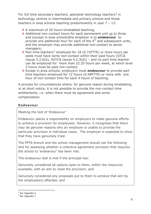For full time secondary teachers, specialist technology teachers<sup>[2](#page-4-0)</sup> in technology centres in intermediate and primary schools and those teachers in area schools teaching predominantly in year 7 – 13:

- \* A maximum of 20 hours timetabled teaching;
- Additional non-contact hours for each permanent unit up to three and (except in area schools)the employer is to *endeavour* to provide one additional hour for each of the  $4<sup>th</sup>$  and subsequent units, and the employer may provide additional non-contact to senior managers;
- $\cdot$  Part time teachers<sup>[3](#page-4-1)</sup> employed for 18 (0.72FTTE) or more hours per week must have some non-contact within their paid hours (STCA clause 5.2.6(b), ASTCA clause  $4.2.3(d)$ ) – and no part time teacher can be employed for more than 22.25 hours per week, at which level 3 hours must be paid non-contact.
- Except in area schools, employers must *endeavour* to provide part time teachers employed for 12 hours (0.48FTTE) or more with one hour of non-contact time for each 4 hours of teaching.

A process for circumstances where, for genuine reason during timetabling or at short notice, it is not possible to provide the non-contact time entitlements, i.e. when there must be agreement and some compensation.

## **Endeavour**

Meeting the test of 'Endeavour'

Endeavour places a responsibility on employers to make genuine efforts to achieve a provision for employees. However, it recognises that there may be genuine reasons why an employer is unable to provide the particular provision in individual cases. The employer is expected to show that they have genuinely tried.

The PPTA branch and the school management should use the following test for assessing whether a collective agreement provision that requires the school to 'endeavour' has been met.

The endeavour test is met if the principal has:

Genuinely considered all options open to them, within the resources available, with an aim to meet the provision; and

Genuinely considered any proposals put to them to achieve that aim by the employee(s) affected; and

 $2$  See Appendix 6 -

<span id="page-4-1"></span><span id="page-4-0"></span><sup>&</sup>lt;sup>3</sup> See Appendix 7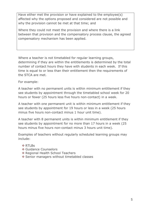Have either met the provision or have explained to the employee(s) affected why the options proposed and considered are not possible and why the provision cannot be met at that time; and

Where they could not meet the provision and where there is a link between that provision and the compensatory process clause, the agreed compensatory mechanism has been applied.

Where a teacher is not timetabled for regular learning groups, determining if they are within the entitlements is determined by the total number of contact hours they have with students in each week. If this time is equal to or less than their entitlement then the requirements of the STCA are met.

For example:

A teacher with no permanent units is within minimum entitlement if they see students by appointment through the timetabled school week for 20 hours or fewer (25 hours less five hours non-contact) in a week.

A teacher with one permanent unit is within minimum entitlement if they see students by appointment for 19 hours or less in a week (25 hours minus five hours non-contact minus 1 hour unit time).

A teacher with 8 permanent units is within minimum entitlement if they see students by appointment for no more than 17 hours in a week (25 hours minus five hours non-contact minus 3 hours unit time).

Examples of teachers without regularly scheduled learning groups may include:

- **❖ RTLBs**
- **❖ Guidance Counselors**
- ◆ Regional Health School Teachers
- ❖ Senior managers without timetabled classes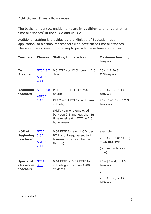## **Additional time allowances**

The basic non-contact entitlements are **in addition** to a range of other time allowances $4$  in the STCA and ASTCA.

Additional staffing is provided by the Ministry of Education, upon application, to a school for teachers who have these time allowances. There can be no reason for failing to provide these time allowances.

| <b>Teachers</b>                                | <b>Clauses</b>                              | <b>Staffing to the school</b>                                                                                                                                                                 | <b>Maximum teaching</b><br>hrs/wk                                                               |  |
|------------------------------------------------|---------------------------------------------|-----------------------------------------------------------------------------------------------------------------------------------------------------------------------------------------------|-------------------------------------------------------------------------------------------------|--|
| <b>Te</b><br><b>Atakura</b>                    | <b>STCA 3.7</b><br><b>ASTCA</b><br>2.11     | $0.5$ FTTE (or 12.5 hours = 2.5<br>days)                                                                                                                                                      | $25 - (12.5 + 5) =$<br>7.5hrs/wk                                                                |  |
| <b>Beginning</b><br>teachers'                  | <b>STCA 3.8</b><br><b>ASTCA</b><br>2.10     | PRT $1 - 0.2$ FTTE (= five<br>hours)<br>PRT 2 - 0.1 FTTE (not in area<br>schools)<br>(PRTs year one employed<br>between 0.5 and less than full<br>time receive 0.1 FTTE ie 2.5<br>hours/week) | $25 - (5 + 5) = 15$<br>hrs/wk<br>$25 - (5 + 2.5) = 17.5$<br>hrs /wk                             |  |
| <b>HOD of</b><br><b>Beginning</b><br>teachers' | <b>STCA</b><br>3.8A<br><b>ASTCA</b><br>2.14 | 0.04 FTTE for each HOD per<br>BT 1 and 2 (equivalent to 1<br>hr/week which can be used<br>flexibly)                                                                                           | example<br>$25 - (5 + 3 \text{ units } + 1)$<br>$= 16$ hrs/wk<br>(or used in blocks of<br>time) |  |
| <b>Specialist</b><br>classroom<br>teachers     | <b>STCA</b><br>3.8B                         | 0.14 FTTE or 0.32 FTTE for<br>schools greater than 1200<br>students.                                                                                                                          | $25 - (5 + 4) = 16$<br>hrs/wk<br>or<br>$25 - (5 + 8) = 12$<br>hrs/wk                            |  |

<span id="page-6-0"></span><sup>4</sup> See Appendix 8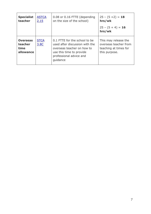<span id="page-7-0"></span>

| <b>Specialist</b><br>teacher                    | <b>ASTCA</b><br>2.15 | 0.08 or 0.16 FTTE (depending<br>on the size of the school)                                                                                                       | $25 - (5 + 2) = 18$<br>hrs/wk<br>$25 - (5 + 4) = 16$<br>hrs/wk                          |
|-------------------------------------------------|----------------------|------------------------------------------------------------------------------------------------------------------------------------------------------------------|-----------------------------------------------------------------------------------------|
| <b>Overseas</b><br>teacher<br>time<br>allowance | <b>STCA</b><br>3.8C  | 0.1 FTTE for the school to be<br>used after discussion with the<br>overseas teacher on how to<br>use this time to provide<br>professional advice and<br>guidance | This may release the<br>overseas teacher from<br>teaching at times for<br>this purpose. |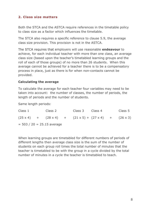## **2. Class size matters**

Both the STCA and the ASTCA require references in the timetable policy to class size as a factor which influences the timetable.

The STCA also requires a specific reference to clause 5.9, the average class size provision. This provision is not in the ASTCA.

The STCA requires that employers will use reasonable **endeavour** to achieve, for each individual teacher with more than one class, an average class size (based upon the teacher's timetabled learning groups and the roll of each of those groups) of no more than 26 students. When this average cannot be achieved for a teacher there is to be a compensatory process in place, just as there is for when non-contacts cannot be provided.

## **Calculating the average**

To calculate the average for each teacher four variables may need to be taken into account: the number of classes, the number of periods, the length of periods and the number of students.

Same length periods:

| Class 1                      |  | Class 2 |  | Class 3 Class 4 |                                                                                         |  | Class 5 |
|------------------------------|--|---------|--|-----------------|-----------------------------------------------------------------------------------------|--|---------|
|                              |  |         |  |                 | $(25 \times 4)$ + $(28 \times 4)$ + $(21 \times 5)$ + $(27 \times 4)$ + $(26 \times 3)$ |  |         |
| $= 503 / 20 = 25.15$ average |  |         |  |                 |                                                                                         |  |         |

When learning groups are timetabled for different numbers of periods of different lengths then average class size is the sum of the number of students on each group roll times the total number of minutes that the teacher is timetabled to be with the group in a cycle divided by the total number of minutes in a cycle the teacher is timetabled to teach.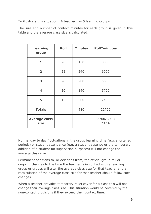To illustrate this situation: A teacher has 5 learning groups.

The size and number of contact minutes for each group is given in this table and the average class size is calculated:

| <b>Learning</b><br>group     | <b>Roll</b> | <b>Minutes</b> | <b>Roll*minutes</b>    |  |
|------------------------------|-------------|----------------|------------------------|--|
| $\mathbf{1}$                 | 20          | 150            | 3000                   |  |
| $\overline{\mathbf{2}}$      | 25          | 240            | 6000                   |  |
| 3                            | 28          | 200            | 5600                   |  |
| 4                            | 30          | 190            | 5700                   |  |
| 5                            | 12          | 200            | 2400                   |  |
| <b>Totals</b>                |             | 980            | 22700                  |  |
| <b>Average class</b><br>size |             |                | $22700/980 =$<br>23.16 |  |

Normal day to day fluctuations in the group learning time (e.g. shortened periods) or student attendance (e.g. a student absence or the temporary addition of a student for supervision purposes) will not change the average class size.

Permanent additions to, or deletions from, the official group roll or ongoing changes to the time the teacher is in contact with a learning group or groups will alter the average class size for that teacher and a recalculation of the average class size for that teacher should follow such changes.

When a teacher provides temporary relief cover for a class this will not change their average class size. This situation would be covered by the non-contact provisions if they exceed their contact time.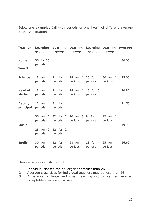Below are examples (all with periods of one hour) of different average class size situations

| <b>Teacher</b>                           | <b>Learning</b><br>group            | <b>Learning</b><br>group            | <b>Learning</b><br>group | <b>Learning</b><br>group              | <b>Learning</b><br>group | <b>Average</b> |
|------------------------------------------|-------------------------------------|-------------------------------------|--------------------------|---------------------------------------|--------------------------|----------------|
| <b>Home</b><br>room<br>Year <sub>7</sub> | 30 for 25<br>periods                |                                     |                          |                                       |                          | 30.00          |
| <b>Science</b>                           | 18 for<br>$\overline{4}$<br>periods | 21 for<br>$\overline{4}$<br>periods | 28 for 4<br>periods      | 28 for 4<br>periods                   | 30 for 4<br>periods      | 25.00          |
| <b>Head of</b><br><b>Maths</b>           | for 4<br>18<br>periods              | 21 for<br>$\overline{4}$<br>periods | 28 for 4<br>periods      | 15 for 3<br>periods                   |                          | 20.87          |
| <b>Deputy</b><br>principal               | 12 for 4<br>periods                 | 31 for 4<br>periods                 |                          |                                       |                          | 21.50          |
| <b>Music</b>                             | for 2<br>30<br>periods              | 32 for 2<br>periods                 | 20 for 3<br>periods      | for<br>8<br>$\overline{4}$<br>periods | 12 for 4<br>periods      | 19.79          |
|                                          | for 2<br>28<br>periods              | 32 for 2<br>periods                 |                          |                                       |                          |                |
| <b>English</b>                           | 30 for 4<br>periods                 | 32 for<br>$\overline{4}$<br>periods | 28 for 4<br>periods      | 18 for 4<br>periods                   | 25 for 4<br>periods      | 26.60          |

These examples illustrate that:

- 1 Individual classes can be larger or smaller than 26.
- 2 Average class sizes for individual teachers may be less than 26.
- 3 A balance of large and small learning groups can achieve an acceptable average class size.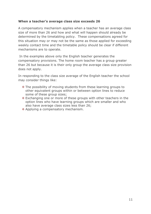#### **When a teacher's average class size exceeds 26**

A compensatory mechanism applies when a teacher has an average class size of more than 26 and how and what will happen should already be determined by the timetabling policy. These compensations agreed for this situation may or may not be the same as those applied for exceeding weekly contact time and the timetable policy should be clear if different mechanisms are to operate.

In the examples above only the English teacher generates the compensatory provisions. The home room teacher has a group greater than 26 but because it is their only group the average class size provision does not apply.

In responding to the class size average of the English teacher the school may consider things like:

- $\cdot$  The possibility of moving students from these learning groups to other equivalent groups within or between option lines to reduce some of these group sizes;
- Exchanging one or more of these groups with other teachers in the option lines who have learning groups which are smaller and who also have average class sizes less than 26;
- <span id="page-11-0"></span>❖ Applying a compensatory mechanism.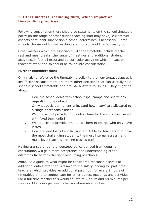## **3. Other matters, including duty, which impact on timetabling practices**

Following consultation there should be statements on the school timetable policy on the range of other duties teaching staff may have, ie whatever aspects of student supervision a school determines is necessary. Some schools choose not to use teaching staff for some of this but many do.

Other matters which are associated with the timetable include teacher rest and meal breaks, the range of meetings and additional student activities, in fact all extra and co-curricular activities which impact on teachers' work and so should be taken into consideration.

#### **Further considerations**

Only making reference the timetabling policy to the non-contact clauses is insufficient because there are many other decisions that can usefully help shape a school's timetable and provide answers to issues. They might be about:

- i. How the school deals with school trips, camps and sports day regarding non-contact?
- ii. On what basis permanent units (and how many) are allocated to a range of responsibilities?
- iii. Will the school provide non-contact time for the work associated with fixed term units?
- iv. Will the school provide time to teachers-in-charge who only have MMAs?
- v. How are workloads kept fair and equitable for teachers who have the most challenging students, the most internal assessment, multi-level teaching, on-line classes etc?

Having transparent and understood policy derived from genuine consultation will gain more acceptance and understanding of the dilemmas faced with the tight resourcing of schools.

<span id="page-12-0"></span>*Note:* As a guide to what might be considered reasonable levels of additional duties attention is drawn to the salary loading for part time teachers, which provides an additional paid hour for every 9 hours of timetabled time to compensate for other duties, meetings and activities. For a full time teacher this would equate to 2 hours and 48 minutes per week or 112 hours per year other non-timetabled duties.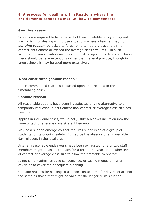## **4. A process for dealing with situations where the entitlements cannot be met i.e. how to compensate**

#### **Genuine reason**

Schools are required to have as part of their timetable policy an agreed mechanism for dealing with those situations where a teacher may, for *genuine reason*, be asked to forgo, on a temporary basis, their noncontact entitlement or exceed the average class size limit. In such instances a compensatory mechanism must be agreed to. In most schools these should be rare exceptions rather than general practice, though in large schools it may be used more extensively<sup>[5](#page-13-0)</sup>.

## **What constitutes genuine reason?**

It is recommended that this is agreed upon and included in the timetabling policy.

#### **Genuine reason:**

All reasonable options have been investigated and no alternative to a temporary reduction in entitlement non-contact or average class size has been found.

Applies in individual cases, would not justify a blanket incursion into the non-contact or average class size entitlements.

May be a sudden emergency that requires supervision of a group of students for its ongoing safety. It may be the absence of any available day relievers in the local area.

After all reasonable endeavours have been exhausted, one or two staff members might be asked to teach for a term, or a year, at a higher level of contact or average class size to allow the timetable to operate.

Is not simply administrative convenience, or saving money on relief cover, or to cover for inadequate planning.

Genuine reasons for seeking to use non-contact time for day relief are not the same as those that might be valid for the longer-term situation.

<span id="page-13-0"></span><sup>5</sup> See Appendix 2 -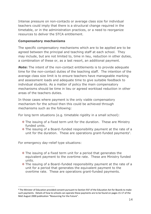Intense pressure on non-contacts or average class size for individual teachers could imply that there is a structural change required in the timetable, or in the administration practices, or a need to reorganize resources to deliver the STCA entitlement.

#### **Compensatory mechanisms**

The specific compensatory mechanisms which are to be applied are to be agreed between the principal and teaching staff at each school. They may include, but are not limited to, time in lieu, reduction in other duties, a combination of these or, as a last resort, an additional payment.

*Note***:** The intent of the non-contact entitlements is to provide adequate time for the non-contact duties of the teaching staff. The intention of the average class size limit is to ensure teachers have manageable marking and assessment loads and adequate time to give suitable feedback to individual students. As a matter of policy the main compensatory mechanisms should be time in lieu or agreed workload reduction in other areas of the teachers duties.

In those cases where payment is the only viable compensatory mechanism for the school then this could be achieved through mechanisms such as the following:

For long term situations (e.g. timetable rigidity in a small school):

- The issuing of a fixed term unit for the duration. These are Ministry funded units.
- The issuing of a Board–funded responsibility payment at the rate of a unit for the duration. These are operations grant-funded payments<sup>[6](#page-14-0)</sup>.

For emergency day-relief type situations:

- $\div$  The issuing of a fixed term unit for a period that generates the equivalent payment to the overtime rate. These are Ministry funded units.
- \* The issuing of a Board-funded responsibility payment at the rate of a unit for a period that generates the equivalent payment to the overtime rate. These are operations grant-funded payments.

<span id="page-14-0"></span><sup>6</sup> The Minister of Education provided consent pursuant to Section 91F of the Education Act for Boards to make such payments. Details of how to schools can operate these payments are to be found on pages 15-17 of the MoE August 2000 publication "Resourcing For the Future". -